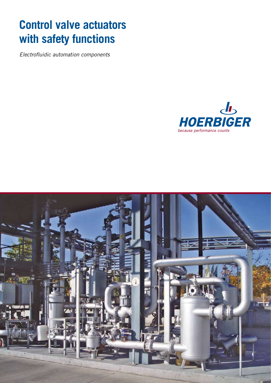# **Control valve actuators with safety functions**

Electrofluidic automation components



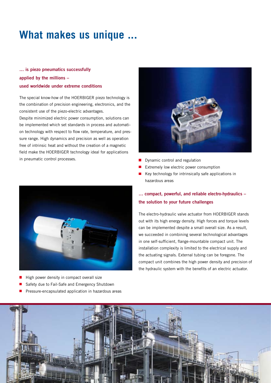## **What makes us unique ...**

### **… is piezo pneumatics successfully applied by the millions – used worldwide under extreme conditions**

The special know-how of the HOERBIGER piezo technology is the combination of precision engineering, electronics, and the consistent use of the piezo-electric advantages.

Despite minimized electric power consumption, solutions can be implemented which set standards in process and automation technology with respect to flow rate, temperature, and pressure range. High dynamics and precision as well as operation free of intrinsic heat and without the creation of a magnetic field make the HOERBIGER technology ideal for applications in pneumatic control processes.



- High power density in compact overall size П
- Safety due to Fail-Safe and Emergency Shutdown
- Pressure-encapsulated application in hazardous areas  $\blacksquare$



- Dynamic control and regulation  $\blacksquare$
- Extremely low electric power consumption
- Key technology for intrinsically safe applications in  $\blacksquare$ hazardous areas

### **… compact, powerful, and reliable electro-hydraulics – the solution to your future challenges**

The electro-hydraulic valve actuator from HOERBIGER stands out with its high energy density. High forces and torque levels can be implemented despite a small overall size. As a result, we succeeded in combining several technological advantages in one self-sufficient, flange-mountable compact unit. The installation complexity is limited to the electrical supply and the actuating signals. External tubing can be foregone. The compact unit combines the high power density and precision of the hydraulic system with the benefits of an electric actuator.

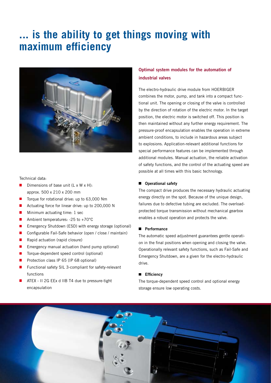## **... is the ability to get things moving with maximum efficiency**



#### Technical data:

- п Dimensions of base unit (L x W x H): approx. 500 x 210 x 200 mm
- E Torque for rotational drive: up to 63,000 Nm
- п Actuating force for linear drive: up to 200,000 N
- п Minimum actuating time: 1 sec
- $\mathcal{L}_{\mathcal{A}}$ Ambient temperatures: -25 to +70°C
- п Emergency Shutdown (ESD) with energy storage (optional)
- п Configurable Fail-Safe behavior (open / close / maintain)
- $\mathbb{Z}$ Rapid actuation (rapid closure)
- Г Emergency manual actuation (hand pump optional)
- п Torque-dependent speed control (optional)
- $\blacksquare$ Protection class IP 65 (IP 68 optional)
- П Functional safety SIL 3-compliant for safety-relevant functions
- ATEX II 2G EEx d IIB T4 due to pressure-tight encapsulation

### **Optimal system modules for the automation of industrial valves**

The electro-hydraulic drive module from HOERBIGER combines the motor, pump, and tank into a compact functional unit. The opening or closing of the valve is controlled by the direction of rotation of the electric motor. In the target position, the electric motor is switched off. This position is then maintained without any further energy requirement. The pressure-proof encapsulation enables the operation in extreme ambient conditions, to include in hazardous areas subject to explosions. Application-relevant additional functions for special performance features can be implemented through additional modules. Manual actuation, the reliable activation of safety functions, and the control of the actuating speed are possible at all times with this basic technology.

#### **Operational safety**

The compact drive produces the necessary hydraulic actuating energy directly on the spot. Because of the unique design, failures due to defective tubing are excluded. The overloadprotected torque transmission without mechanical gearbox enables a robust operation and protects the valve.

#### **Performance**

The automatic speed adjustment guarantees gentle operation in the final positions when opening and closing the valve. Operationally relevant safety functions, such as Fail-Safe and Emergency Shutdown, are a given for the electro-hydraulic drive.

#### **Efficiency**

The torque-dependent speed control and optional energy storage ensure low operating costs.

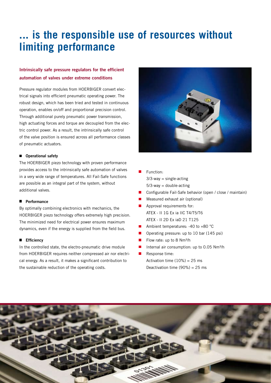## **... is the responsible use of resources without limiting performance**

### **Intrinsically safe pressure regulators for the efficient automation of valves under extreme conditions**

Pressure regulator modules from HOERBIGER convert electrical signals into efficient pneumatic operating power. The robust design, which has been tried and tested in continuous operation, enables on/off and proportional precision control. Through additional purely pneumatic power transmission, high actuating forces and torque are decoupled from the electric control power. As a result, the intrinsically safe control of the valve position is ensured across all performance classes of pneumatic actuators.

#### **Operational safety**

The HOERBIGER piezo technology with proven performance provides access to the intrinsically safe automation of valves in a very wide range of temperatures. All Fail-Safe functions are possible as an integral part of the system, without additional valves.

#### **Performance**

By optimally combining electronics with mechanics, the HOERBIGER piezo technology offers extremely high precision. The minimized need for electrical power ensures maximum dynamics, even if the energy is supplied from the field bus.

#### **Efficiency**

In the controlled state, the electro-pneumatic drive module from HOERBIGER requires neither compressed air nor electrical energy. As a result, it makes a significant contribution to the sustainable reduction of the operating costs.



- Function:  $3/3$ -way = single-acting  $5/3$ -way = double-acting
- Configurable Fail-Safe behavior (open / close / maintain)
- Measured exhaust air (optional)
- Approval requirements for:  $\blacksquare$  ATEX - II 1G Ex ia IIC T4/T5/T6 ATEX - II 2D Ex iaD 21 T125
- Ambient temperatures: -40 to +80 °C  $\mathcal{L}_{\mathcal{A}}$
- Operating pressure: up to 10 bar (145 psi) п
- Flow rate: up to 8 Nm<sup>3</sup>/h  $\blacksquare$
- Internal air consumption: up to 0.05 Nm<sup>3</sup>/h  $\overline{\phantom{a}}$
- Response time:  $\blacksquare$ 
	- Activation time  $(10\%) = 25$  ms Deactivation time  $(90\%) = 25$  ms

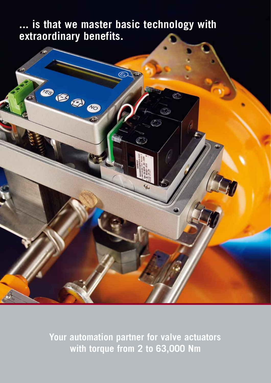**... is that we master basic technology with extraordinary benefits.**



 **Your automation partner for valve actuators with torque from 2 to 63,000 Nm**